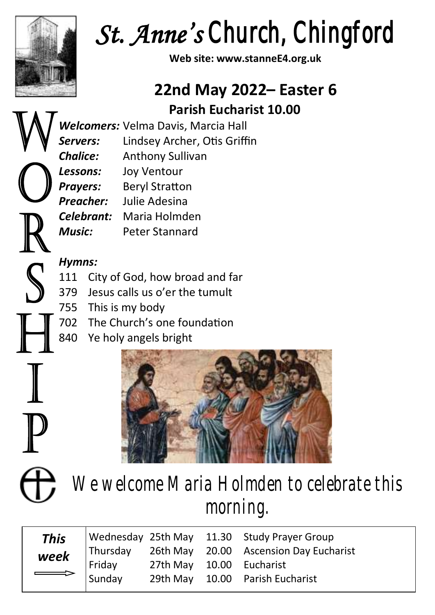

*St. Anne's Church, Chingford* 

**Web site: www.stanneE4.org.uk**

# **22nd May 2022– Easter 6 Parish Eucharist 10.00**

*Welcomers:* Velma Davis, Marcia Hall *Servers:* Lindsey Archer, Otis Griffin *Chalice:* Anthony Sullivan *Lessons:* Joy Ventour **Prayers:** Beryl Stratton *Preacher:* Julie Adesina *Celebrant:* Maria Holmden *Music:* Peter Stannard

### *Hymns:*

- 111 City of God, how broad and far
- 379 Jesus calls us o'er the tumult
- 755 This is my body
- 702 The Church's one foundation
- 840 Ye holy angels bright



 $\mathcal{S}$ 

*We welcome Maria Holmden to celebrate this morning.*

|  |  | Week<br>Friday 26th May 20.00 Ascension Day Eucharist<br>Friday 27th May 10.00 Eucharist<br>Sunday 29th May: |
|--|--|--------------------------------------------------------------------------------------------------------------|
|  |  |                                                                                                              |
|  |  |                                                                                                              |
|  |  |                                                                                                              |
|  |  |                                                                                                              |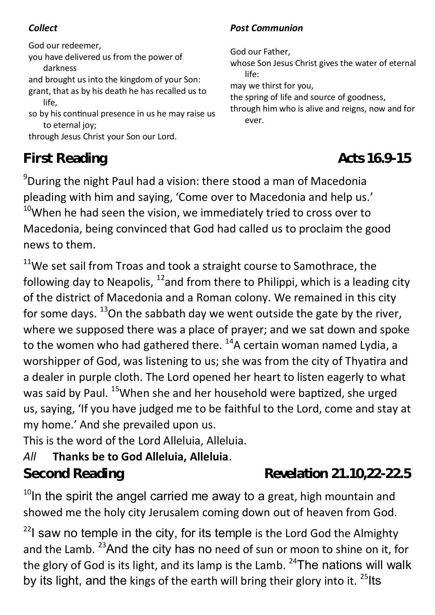God our redeemer, you have delivered us from the power of darkness and brought us into the kingdom of your Son: grant, that as by his death he has recalled us to life, so by his continual presence in us he may raise us to eternal joy: through Jesus Christ your Son our Lord.

# **First Reading** *Acts 16.9-15*

*Collect Post Communion*

God our Father,

whose Son Jesus Christ gives the water of eternal life:

may we thirst for you,

the spring of life and source of goodness,

through him who is alive and reigns, now and for ever.

<sup>9</sup>During the night Paul had a vision: there stood a man of Macedonia pleading with him and saying, 'Come over to Macedonia and help us.'  $10$ When he had seen the vision, we immediately tried to cross over to Macedonia, being convinced that God had called us to proclaim the good news to them.

 $11$ We set sail from Troas and took a straight course to Samothrace, the following day to Neapolis,  $^{12}$  and from there to Philippi, which is a leading city of the district of Macedonia and a Roman colony. We remained in this city for some days.  $^{13}$ On the sabbath day we went outside the gate by the river, where we supposed there was a place of prayer; and we sat down and spoke to the women who had gathered there.  $^{14}$ A certain woman named Lydia, a worshipper of God, was listening to us; she was from the city of Thyatira and a dealer in purple cloth. The Lord opened her heart to listen eagerly to what was said by Paul. <sup>15</sup>When she and her household were baptized, she urged us, saying, 'If you have judged me to be faithful to the Lord, come and stay at my home.' And she prevailed upon us.

This is the word of the Lord Alleluia, Alleluia.

### *All* **Thanks be to God Alleluia, Alleluia**.

## **Second Reading** *Revelation 21.10,22-22.5*

 $10$ In the spirit the angel carried me away to a great, high mountain and showed me the holy city Jerusalem coming down out of heaven from God.

 $22$ I saw no temple in the city, for its temple is the Lord God the Almighty and the Lamb. <sup>23</sup> And the city has no need of sun or moon to shine on it, for the glory of God is its light, and its lamp is the Lamb.  $24$ The nations will walk by its light, and the kings of the earth will bring their glory into it.  $^{25}$ lts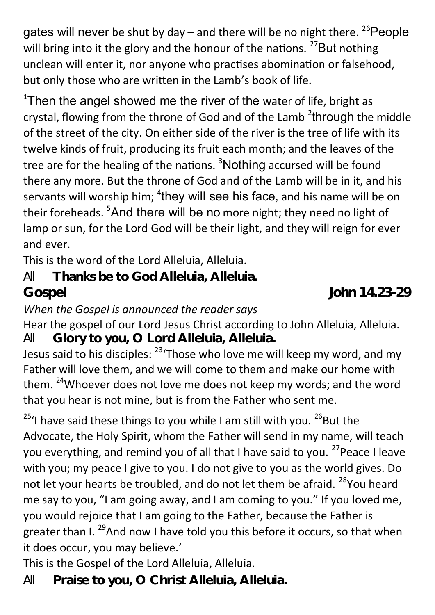gates will never be shut by day – and there will be no night there.  $^{26}$ People will bring into it the glory and the honour of the nations.  $27$ But nothing unclean will enter it, nor anyone who practises abomination or falsehood, but only those who are written in the Lamb's book of life.

 $^{\rm 1}$ Then the angel showed me the river of the water of life, bright as crystal, flowing from the throne of God and of the Lamb <sup>2</sup>through the middle of the street of the city. On either side of the river is the tree of life with its twelve kinds of fruit, producing its fruit each month; and the leaves of the tree are for the healing of the nations.  $3$ Nothing accursed will be found there any more. But the throne of God and of the Lamb will be in it, and his servants will worship him;  $^4$ they will see his face, and his name will be on their foreheads. <sup>5</sup>And there will be no more night; they need no light of lamp or sun, for the Lord God will be their light, and they will reign for ever and ever.

This is the word of the Lord Alleluia, Alleluia.

*All* **Thanks be to God Alleluia, Alleluia. Gospel** *John 14.23-29*

#### *When the Gospel is announced the reader says*

Hear the gospel of our Lord Jesus Christ according to John Alleluia, Alleluia. *All* **Glory to you, O Lord Alleluia, Alleluia.**

Jesus said to his disciples: <sup>23</sup>'Those who love me will keep my word, and my Father will love them, and we will come to them and make our home with them. <sup>24</sup>Whoever does not love me does not keep my words; and the word that you hear is not mine, but is from the Father who sent me.

 $25'$ I have said these things to you while I am still with you.  $26B$ ut the Advocate, the Holy Spirit, whom the Father will send in my name, will teach you everything, and remind you of all that I have said to you. <sup>27</sup> Peace I leave with you; my peace I give to you. I do not give to you as the world gives. Do not let your hearts be troubled, and do not let them be afraid. <sup>28</sup>You heard me say to you, "I am going away, and I am coming to you." If you loved me, you would rejoice that I am going to the Father, because the Father is greater than I.<sup>29</sup>And now I have told you this before it occurs, so that when it does occur, you may believe.'

This is the Gospel of the Lord Alleluia, Alleluia.

*All* **Praise to you, O Christ Alleluia, Alleluia.**